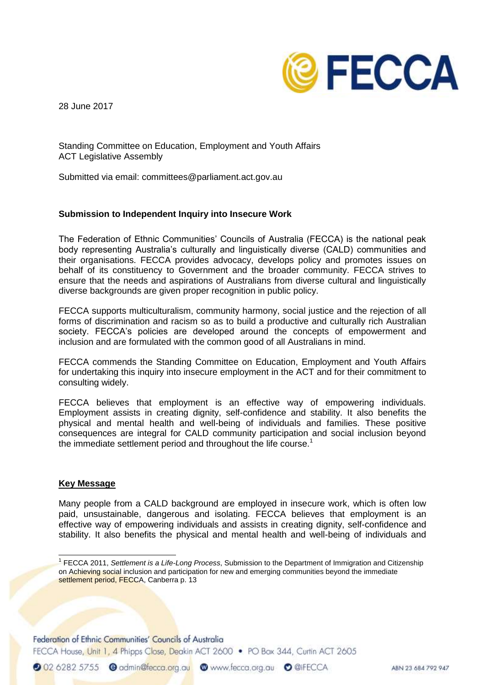

28 June 2017

Standing Committee on Education, Employment and Youth Affairs ACT Legislative Assembly

Submitted via email: committees@parliament.act.gov.au

### **Submission to Independent Inquiry into Insecure Work**

The Federation of Ethnic Communities' Councils of Australia (FECCA) is the national peak body representing Australia's culturally and linguistically diverse (CALD) communities and their organisations. FECCA provides advocacy, develops policy and promotes issues on behalf of its constituency to Government and the broader community. FECCA strives to ensure that the needs and aspirations of Australians from diverse cultural and linguistically diverse backgrounds are given proper recognition in public policy.

FECCA supports multiculturalism, community harmony, social justice and the rejection of all forms of discrimination and racism so as to build a productive and culturally rich Australian society. FECCA's policies are developed around the concepts of empowerment and inclusion and are formulated with the common good of all Australians in mind.

FECCA commends the Standing Committee on Education, Employment and Youth Affairs for undertaking this inquiry into insecure employment in the ACT and for their commitment to consulting widely.

FECCA believes that employment is an effective way of empowering individuals. Employment assists in creating dignity, self-confidence and stability. It also benefits the physical and mental health and well-being of individuals and families. These positive consequences are integral for CALD community participation and social inclusion beyond the immediate settlement period and throughout the life course.<sup>1</sup>

## **Key Message**

Many people from a CALD background are employed in insecure work, which is often low paid, unsustainable, dangerous and isolating. FECCA believes that employment is an effective way of empowering individuals and assists in creating dignity, self-confidence and stability. It also benefits the physical and mental health and well-being of individuals and

Federation of Ethnic Communities' Councils of Australia

FECCA House, Unit 1, 4 Phipps Close, Deakin ACT 2600 • PO Box 344, Curtin ACT 2605

20262825755 @ admin@fecca.org.au @ www.fecca.org.au @ @iFECCA

 1 FECCA 2011, *Settlement is a Life-Long Process*, Submission to the Department of Immigration and Citizenship on Achieving social inclusion and participation for new and emerging communities beyond the immediate settlement period, FECCA, Canberra p. 13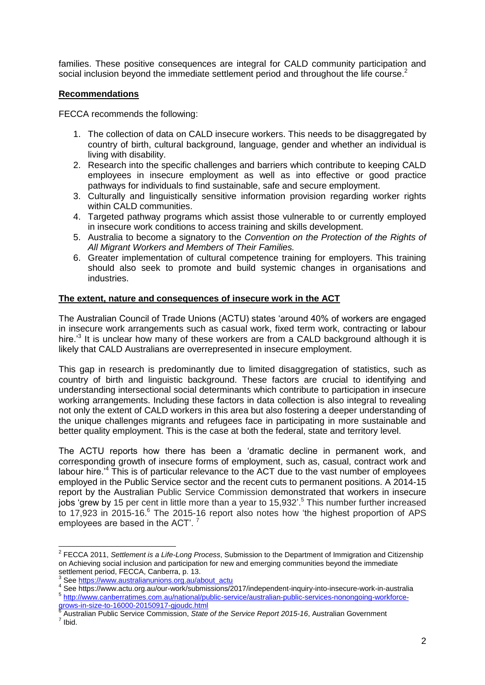families. These positive consequences are integral for CALD community participation and social inclusion beyond the immediate settlement period and throughout the life course.<sup>2</sup>

## **Recommendations**

FECCA recommends the following:

- 1. The collection of data on CALD insecure workers. This needs to be disaggregated by country of birth, cultural background, language, gender and whether an individual is living with disability.
- 2. Research into the specific challenges and barriers which contribute to keeping CALD employees in insecure employment as well as into effective or good practice pathways for individuals to find sustainable, safe and secure employment.
- 3. Culturally and linguistically sensitive information provision regarding worker rights within CALD communities.
- 4. Targeted pathway programs which assist those vulnerable to or currently employed in insecure work conditions to access training and skills development.
- 5. Australia to become a signatory to the *Convention on the Protection of the Rights of All Migrant Workers and Members of Their Families.*
- 6. Greater implementation of cultural competence training for employers. This training should also seek to promote and build systemic changes in organisations and industries.

# **The extent, nature and consequences of insecure work in the ACT**

The Australian Council of Trade Unions (ACTU) states 'around 40% of workers are engaged in insecure work arrangements such as casual work, fixed term work, contracting or labour hire.<sup>3</sup> It is unclear how many of these workers are from a CALD background although it is likely that CALD Australians are overrepresented in insecure employment.

This gap in research is predominantly due to limited disaggregation of statistics, such as country of birth and linguistic background. These factors are crucial to identifying and understanding intersectional social determinants which contribute to participation in insecure working arrangements. Including these factors in data collection is also integral to revealing not only the extent of CALD workers in this area but also fostering a deeper understanding of the unique challenges migrants and refugees face in participating in more sustainable and better quality employment. This is the case at both the federal, state and territory level.

The ACTU reports how there has been a 'dramatic decline in permanent work, and corresponding growth of insecure forms of employment, such as, casual, contract work and labour hire.<sup>4</sup> This is of particular relevance to the ACT due to the vast number of employees employed in the Public Service sector and the recent cuts to permanent positions. A 2014-15 report by the Australian Public Service Commission demonstrated that workers in insecure jobs 'grew by 15 per cent in little more than a year to 15,932'.<sup>5</sup> This number further increased to 17,923 in 2015-16.<sup>6</sup> The 2015-16 report also notes how 'the highest proportion of APS employees are based in the ACT'.<sup>7</sup>

4 See https://www.actu.org.au/our-work/submissions/2017/independent-inquiry-into-insecure-work-in-australia <sup>5</sup> [http://www.canberratimes.com.au/national/public-service/australian-public-services-nonongoing-workforce-](http://www.canberratimes.com.au/national/public-service/australian-public-services-nonongoing-workforce-grows-in-size-to-16000-20150917-gjoudc.html)

 2 FECCA 2011, *Settlement is a Life-Long Process*, Submission to the Department of Immigration and Citizenship on Achieving social inclusion and participation for new and emerging communities beyond the immediate settlement period, FECCA, Canberra, p. 13.<br><sup>3</sup> See https://www.guatralianupians.crg.gu/o

See [https://www.australianunions.org.au/about\\_actu](https://www.australianunions.org.au/about_actu)

[grows-in-size-to-16000-20150917-gjoudc.html](http://www.canberratimes.com.au/national/public-service/australian-public-services-nonongoing-workforce-grows-in-size-to-16000-20150917-gjoudc.html)<br><sup>6</sup> Augtralian Bublie Sen*ties Commission, State* 

Australian Public Service Commission, *State of the Service Report 2015-16*, Australian Government 7 Ibid.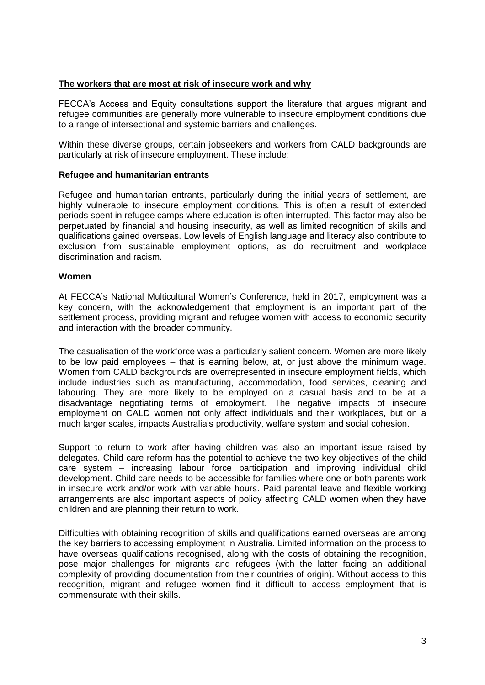## **The workers that are most at risk of insecure work and why**

FECCA's Access and Equity consultations support the literature that argues migrant and refugee communities are generally more vulnerable to insecure employment conditions due to a range of intersectional and systemic barriers and challenges.

Within these diverse groups, certain jobseekers and workers from CALD backgrounds are particularly at risk of insecure employment. These include:

### **Refugee and humanitarian entrants**

Refugee and humanitarian entrants, particularly during the initial years of settlement, are highly vulnerable to insecure employment conditions. This is often a result of extended periods spent in refugee camps where education is often interrupted. This factor may also be perpetuated by financial and housing insecurity, as well as limited recognition of skills and qualifications gained overseas. Low levels of English language and literacy also contribute to exclusion from sustainable employment options, as do recruitment and workplace discrimination and racism.

#### **Women**

At FECCA's National Multicultural Women's Conference, held in 2017, employment was a key concern, with the acknowledgement that employment is an important part of the settlement process, providing migrant and refugee women with access to economic security and interaction with the broader community.

The casualisation of the workforce was a particularly salient concern. Women are more likely to be low paid employees – that is earning below, at, or just above the minimum wage. Women from CALD backgrounds are overrepresented in insecure employment fields, which include industries such as manufacturing, accommodation, food services, cleaning and labouring. They are more likely to be employed on a casual basis and to be at a disadvantage negotiating terms of employment. The negative impacts of insecure employment on CALD women not only affect individuals and their workplaces, but on a much larger scales, impacts Australia's productivity, welfare system and social cohesion.

Support to return to work after having children was also an important issue raised by delegates. Child care reform has the potential to achieve the two key objectives of the child care system – increasing labour force participation and improving individual child development. Child care needs to be accessible for families where one or both parents work in insecure work and/or work with variable hours. Paid parental leave and flexible working arrangements are also important aspects of policy affecting CALD women when they have children and are planning their return to work.

Difficulties with obtaining recognition of skills and qualifications earned overseas are among the key barriers to accessing employment in Australia. Limited information on the process to have overseas qualifications recognised, along with the costs of obtaining the recognition, pose major challenges for migrants and refugees (with the latter facing an additional complexity of providing documentation from their countries of origin). Without access to this recognition, migrant and refugee women find it difficult to access employment that is commensurate with their skills.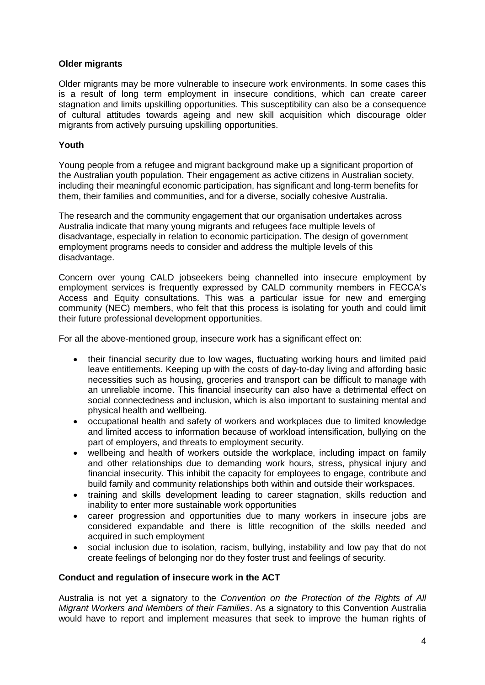## **Older migrants**

Older migrants may be more vulnerable to insecure work environments. In some cases this is a result of long term employment in insecure conditions, which can create career stagnation and limits upskilling opportunities. This susceptibility can also be a consequence of cultural attitudes towards ageing and new skill acquisition which discourage older migrants from actively pursuing upskilling opportunities.

## **Youth**

Young people from a refugee and migrant background make up a significant proportion of the Australian youth population. Their engagement as active citizens in Australian society, including their meaningful economic participation, has significant and long-term benefits for them, their families and communities, and for a diverse, socially cohesive Australia.

The research and the community engagement that our organisation undertakes across Australia indicate that many young migrants and refugees face multiple levels of disadvantage, especially in relation to economic participation. The design of government employment programs needs to consider and address the multiple levels of this disadvantage.

Concern over young CALD jobseekers being channelled into insecure employment by employment services is frequently expressed by CALD community members in FECCA's Access and Equity consultations. This was a particular issue for new and emerging community (NEC) members, who felt that this process is isolating for youth and could limit their future professional development opportunities.

For all the above-mentioned group, insecure work has a significant effect on:

- their financial security due to low wages, fluctuating working hours and limited paid leave entitlements. Keeping up with the costs of day-to-day living and affording basic necessities such as housing, groceries and transport can be difficult to manage with an unreliable income. This financial insecurity can also have a detrimental effect on social connectedness and inclusion, which is also important to sustaining mental and physical health and wellbeing.
- occupational health and safety of workers and workplaces due to limited knowledge and limited access to information because of workload intensification, bullying on the part of employers, and threats to employment security.
- wellbeing and health of workers outside the workplace, including impact on family and other relationships due to demanding work hours, stress, physical injury and financial insecurity. This inhibit the capacity for employees to engage, contribute and build family and community relationships both within and outside their workspaces.
- training and skills development leading to career stagnation, skills reduction and inability to enter more sustainable work opportunities
- career progression and opportunities due to many workers in insecure jobs are considered expandable and there is little recognition of the skills needed and acquired in such employment
- social inclusion due to isolation, racism, bullying, instability and low pay that do not create feelings of belonging nor do they foster trust and feelings of security.

## **Conduct and regulation of insecure work in the ACT**

Australia is not yet a signatory to the *Convention on the Protection of the Rights of All Migrant Workers and Members of their Families*. As a signatory to this Convention Australia would have to report and implement measures that seek to improve the human rights of